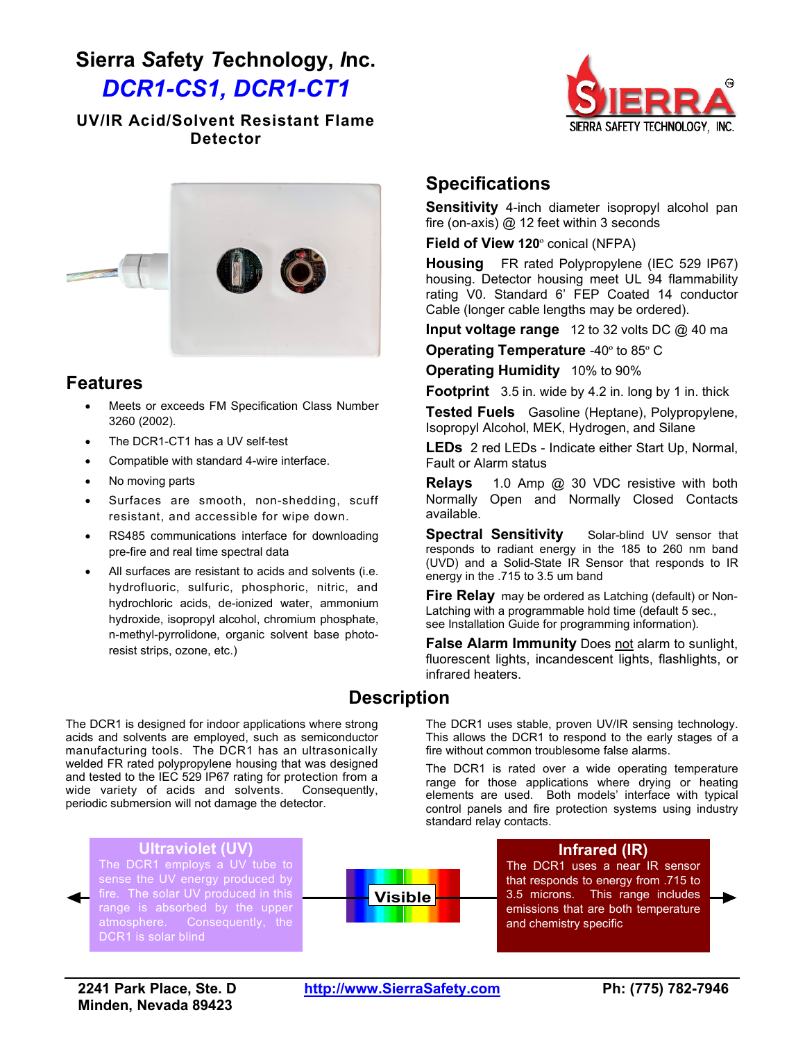# **Sierra** *S***afety** *T***echnology,** *I***nc.** *DCR1-CS1, DCR1-CT1*

#### **UV/IR Acid/Solvent Resistant Flame Detector**





#### **Features**

- Meets or exceeds FM Specification Class Number 3260 (2002).
- The DCR1-CT1 has a UV self-test
- Compatible with standard 4-wire interface.
- No moving parts
- Surfaces are smooth, non-shedding, scuff resistant, and accessible for wipe down.
- RS485 communications interface for downloading pre-fire and real time spectral data
- All surfaces are resistant to acids and solvents (i.e. hydrofluoric, sulfuric, phosphoric, nitric, and hydrochloric acids, de-ionized water, ammonium hydroxide, isopropyl alcohol, chromium phosphate, n-methyl-pyrrolidone, organic solvent base photoresist strips, ozone, etc.)

### **Specifications**

**Sensitivity** 4-inch diameter isopropyl alcohol pan fire (on-axis) @ 12 feet within 3 seconds

**Field of View 120**º conical (NFPA)

**Housing** FR rated Polypropylene (IEC 529 IP67) housing. Detector housing meet UL 94 flammability rating V0. Standard 6' FEP Coated 14 conductor Cable (longer cable lengths may be ordered).

**Input voltage range** 12 to 32 volts DC @ 40 ma

**Operating Temperature** -40º to 85º C

**Operating Humidity** 10% to 90%

**Footprint** 3.5 in. wide by 4.2 in. long by 1 in. thick

**Tested Fuels** Gasoline (Heptane), Polypropylene, Isopropyl Alcohol, MEK, Hydrogen, and Silane

**LEDs** 2 red LEDs - Indicate either Start Up, Normal, Fault or Alarm status

**Relays** 1.0 Amp @ 30 VDC resistive with both Normally Open and Normally Closed Contacts available.

**Spectral Sensitivity** Solar-blind UV sensor that responds to radiant energy in the 185 to 260 nm band (UVD) and a Solid-State IR Sensor that responds to IR energy in the .715 to 3.5 um band

**Fire Relay** may be ordered as Latching (default) or Non-Latching with a programmable hold time (default 5 sec., see Installation Guide for programming information).

**False Alarm Immunity** Does not alarm to sunlight, fluorescent lights, incandescent lights, flashlights, or infrared heaters.

The DCR1 uses stable, proven UV/IR sensing technology. This allows the DCR1 to respond to the early stages of a

The DCR1 is rated over a wide operating temperature

fire without common troublesome false alarms.

### **Description**

The DCR1 is designed for indoor applications where strong acids and solvents are employed, such as semiconductor manufacturing tools. The DCR1 has an ultrasonically welded FR rated polypropylene housing that was designed and tested to the IEC 529 IP67 rating for protection from a wide variety of acids and solvents. Consequently, periodic submersion will not damage the detector.

#### **Ultraviolet (UV)**

The DCR1 employs a UV tube to sense the UV energy produced by fire. The solar UV produced in this range is absorbed by the upper atmosphere. Consequently, the DCR1 is solar blind



range for those applications where drying or heating elements are used. Both models' interface with typical control panels and fire protection systems using industry standard relay contacts.